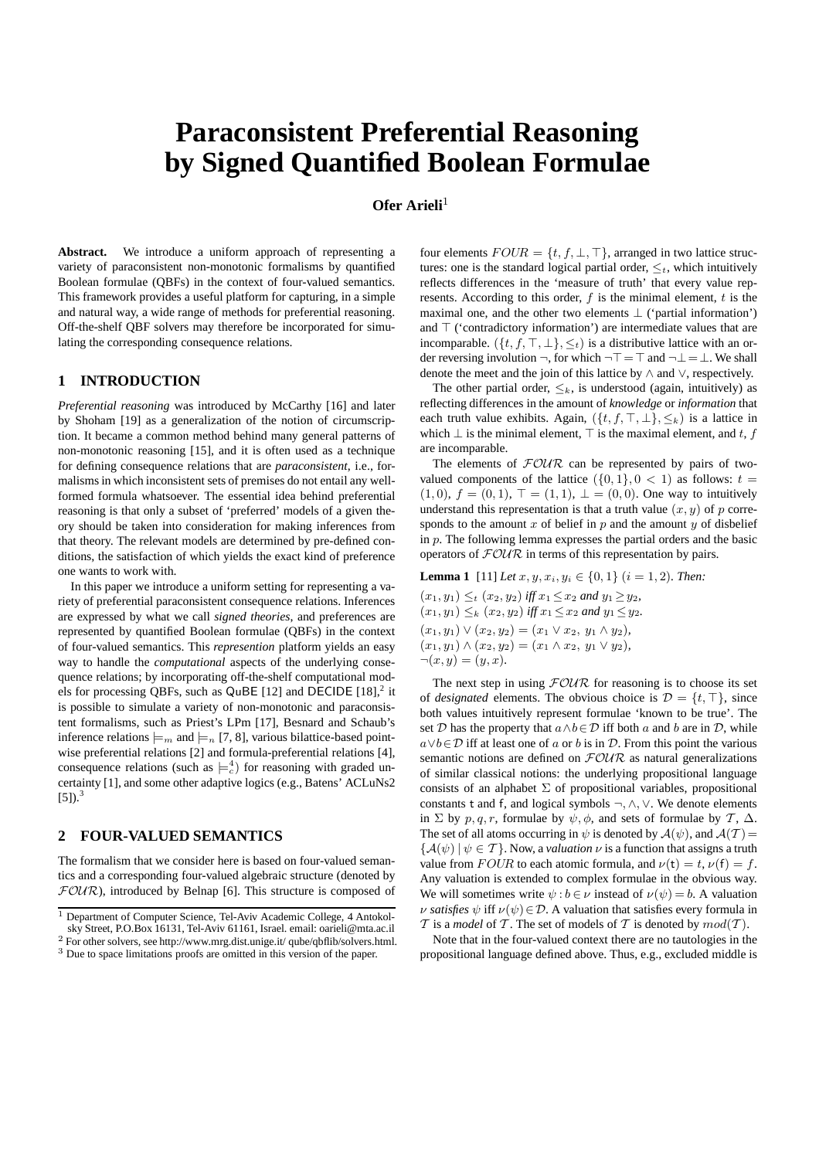# **Paraconsistent Preferential Reasoning by Signed Quantified Boolean Formulae**

# **Ofer Arieli**<sup>1</sup>

Abstract. We introduce a uniform approach of representing a variety of paraconsistent non-monotonic formalisms by quantified Boolean formulae (QBFs) in the context of four-valued semantics. This framework provides a useful platform for capturing, in a simple and natural way, a wide range of methods for preferential reasoning. Off-the-shelf QBF solvers may therefore be incorporated for simulating the corresponding consequence relations.

## **1 INTRODUCTION**

*Preferential reasoning* was introduced by McCarthy [16] and later by Shoham [19] as a generalization of the notion of circumscription. It became a common method behind many general patterns of non-monotonic reasoning [15], and it is often used as a technique for defining consequence relations that are *paraconsistent*, i.e., formalisms in which inconsistent sets of premises do not entail any wellformed formula whatsoever. The essential idea behind preferential reasoning is that only a subset of 'preferred' models of a given theory should be taken into consideration for making inferences from that theory. The relevant models are determined by pre-defined conditions, the satisfaction of which yields the exact kind of preference one wants to work with.

In this paper we introduce a uniform setting for representing a variety of preferential paraconsistent consequence relations. Inferences are expressed by what we call *signed theories*, and preferences are represented by quantified Boolean formulae (QBFs) in the context of four-valued semantics. This *represention* platform yields an easy way to handle the *computational* aspects of the underlying consequence relations; by incorporating off-the-shelf computational models for processing QBFs, such as QuBE [12] and DECIDE  $[18]$ ,<sup>2</sup> it is possible to simulate a variety of non-monotonic and paraconsistent formalisms, such as Priest's LPm [17], Besnard and Schaub's inference relations  $\models_m$  and  $\models_n$  [7, 8], various bilattice-based pointwise preferential relations [2] and formula-preferential relations [4], consequence relations (such as  $\models_c^4$ ) for reasoning with graded uncertainty [1], and some other adaptive logics (e.g., Batens' ACLuNs2  $[5]$ ).<sup>3</sup>

# **2 FOUR-VALUED SEMANTICS**

The formalism that we consider here is based on four-valued semantics and a corresponding four-valued algebraic structure (denoted by  $FOUR$ ), introduced by Belnap [6]. This structure is composed of

four elements  $FOUR = \{t, f, \bot, \top\}$ , arranged in two lattice structures: one is the standard logical partial order,  $\leq_t$ , which intuitively reflects differences in the 'measure of truth' that every value represents. According to this order,  $f$  is the minimal element,  $t$  is the maximal one, and the other two elements  $\perp$  ('partial information') and ⊤ ('contradictory information') are intermediate values that are incomparable. ( $\{t, f, \top, \bot\}, \leq_t$ ) is a distributive lattice with an order reversing involution ¬, for which  $\neg$   $\top$  =  $\top$  and  $\neg$   $\bot$  =  $\bot$ . We shall denote the meet and the join of this lattice by ∧ and ∨, respectively.

The other partial order,  $\leq_k$ , is understood (again, intuitively) as reflecting differences in the amount of *knowledge* or *information* that each truth value exhibits. Again,  $({t, f, \top, \bot}, \leq_k)$  is a lattice in which  $\bot$  is the minimal element,  $\top$  is the maximal element, and t, f are incomparable.

The elements of  $FOUR$  can be represented by pairs of twovalued components of the lattice  $({0, 1}, 0 < 1)$  as follows:  $t =$  $(1, 0), f = (0, 1), T = (1, 1), \perp = (0, 0)$ . One way to intuitively understand this representation is that a truth value  $(x, y)$  of p corresponds to the amount  $x$  of belief in  $p$  and the amount  $y$  of disbelief in  $p$ . The following lemma expresses the partial orders and the basic operators of  $FOWR$  in terms of this representation by pairs.

**Lemma 1** [11] *Let*  $x, y, x_i, y_i \in \{0, 1\}$  ( $i = 1, 2$ *). Then:*  $(x_1, y_1) \leq t (x_2, y_2)$  *iff*  $x_1 \leq x_2$  *and*  $y_1 \geq y_2$ *,*  $(x_1, y_1) \leq_k (x_2, y_2)$  *iff*  $x_1 \leq x_2$  *and*  $y_1 \leq y_2$ *.*  $(x_1, y_1) \vee (x_2, y_2) = (x_1 \vee x_2, y_1 \wedge y_2),$  $(x_1, y_1) \wedge (x_2, y_2) = (x_1 \wedge x_2, y_1 \vee y_2),$  $\neg(x,y) = (y,x)$ .

The next step in using  $FOUR$  for reasoning is to choose its set of *designated* elements. The obvious choice is  $\mathcal{D} = \{t, \top\}$ , since both values intuitively represent formulae 'known to be true'. The set D has the property that  $a \wedge b \in D$  iff both a and b are in D, while  $a \vee b \in \mathcal{D}$  iff at least one of a or b is in  $\mathcal{D}$ . From this point the various semantic notions are defined on  $F\mathcal{O}\mathcal{U}\mathcal{R}$  as natural generalizations of similar classical notions: the underlying propositional language consists of an alphabet  $\Sigma$  of propositional variables, propositional constants t and f, and logical symbols ¬,∧,∨. We denote elements in  $\Sigma$  by  $p, q, r$ , formulae by  $\psi$ ,  $\phi$ , and sets of formulae by  $\mathcal{T}, \Delta$ . The set of all atoms occurring in  $\psi$  is denoted by  $\mathcal{A}(\psi)$ , and  $\mathcal{A}(\mathcal{T})=$  ${A(\psi) | \psi \in \mathcal{T}}$ . Now, a *valuation*  $\nu$  is a function that assigns a truth value from  $FOUR$  to each atomic formula, and  $\nu(t) = t$ ,  $\nu(f) = f$ . Any valuation is extended to complex formulae in the obvious way. We will sometimes write  $\psi : b \in \nu$  instead of  $\nu(\psi) = b$ . A valuation *ν satisfies*  $\psi$  iff  $\nu(\psi) \in \mathcal{D}$ . A valuation that satisfies every formula in  $T$  is a *model* of  $T$ . The set of models of  $T$  is denoted by  $mod(T)$ .

Note that in the four-valued context there are no tautologies in the propositional language defined above. Thus, e.g., excluded middle is

<sup>&</sup>lt;sup>1</sup> Department of Computer Science, Tel-Aviv Academic College, 4 Antokolsky Street, P.O.Box 16131, Tel-Aviv 61161, Israel. email: oarieli@mta.ac.il

<sup>2</sup> For other solvers, see http://www.mrg.dist.unige.it/ qube/qbflib/solvers.html. <sup>3</sup> Due to space limitations proofs are omitted in this version of the paper.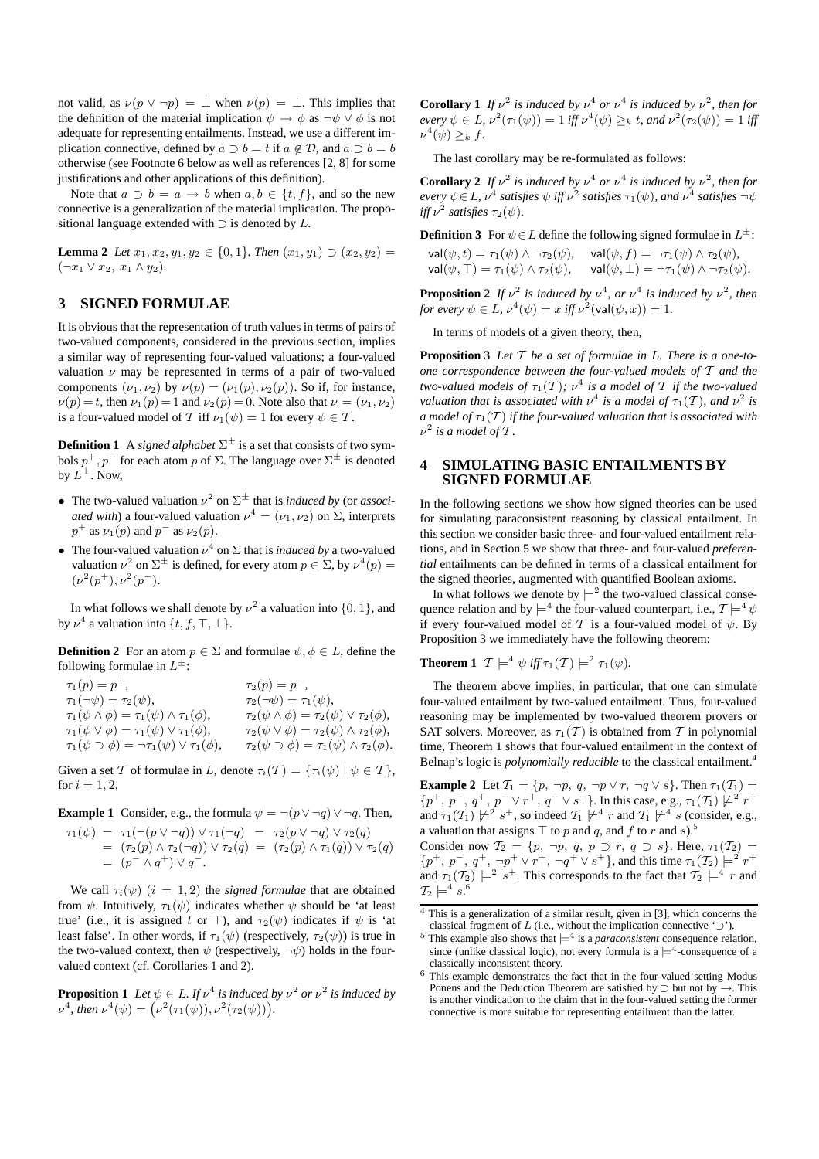not valid, as  $\nu(p \vee \neg p) = \perp$  when  $\nu(p) = \perp$ . This implies that the definition of the material implication  $\psi \to \phi$  as  $\neg \psi \lor \phi$  is not adequate for representing entailments. Instead, we use a different implication connective, defined by  $a \supset b = t$  if  $a \notin \mathcal{D}$ , and  $a \supset b = b$ otherwise (see Footnote 6 below as well as references [2, 8] for some justifications and other applications of this definition).

Note that  $a \supset b = a \rightarrow b$  when  $a, b \in \{t, f\}$ , and so the new connective is a generalization of the material implication. The propositional language extended with  $\supset$  is denoted by L.

**Lemma 2** *Let*  $x_1, x_2, y_1, y_2 \in \{0, 1\}$ *. Then*  $(x_1, y_1) \supset (x_2, y_2) =$  $(\neg x_1 \lor x_2, x_1 \land y_2).$ 

# **3 SIGNED FORMULAE**

It is obvious that the representation of truth values in terms of pairs of two-valued components, considered in the previous section, implies a similar way of representing four-valued valuations; a four-valued valuation  $\nu$  may be represented in terms of a pair of two-valued components  $(\nu_1, \nu_2)$  by  $\nu(p) = (\nu_1(p), \nu_2(p))$ . So if, for instance,  $\nu(p) = t$ , then  $\nu_1(p) = 1$  and  $\nu_2(p) = 0$ . Note also that  $\nu = (\nu_1, \nu_2)$ is a four-valued model of T iff  $\nu_1(\psi) = 1$  for every  $\psi \in \mathcal{T}$ .

**Definition 1** A *signed alphabet*  $\Sigma^{\pm}$  is a set that consists of two symbols  $p^+, p^-$  for each atom p of  $\Sigma$ . The language over  $\Sigma^{\pm}$  is denoted by  $L^{\pm}$ . Now,

- The two-valued valuation  $\nu^2$  on  $\Sigma^{\pm}$  that is *induced by* (or *associated with*) a four-valued valuation  $\nu^4 = (\nu_1, \nu_2)$  on  $\Sigma$ , interprets  $p^+$  as  $\nu_1(p)$  and  $p^-$  as  $\nu_2(p)$ .
- The four-valued valuation  $\nu^4$  on  $\Sigma$  that is *induced by* a two-valued valuation  $\nu^2$  on  $\Sigma^{\pm}$  is defined, for every atom  $p \in \Sigma$ , by  $\nu^4(p) =$  $(\nu^2(p^+), \nu^2(p^-).$

In what follows we shall denote by  $\nu^2$  a valuation into  $\{0, 1\}$ , and by  $\nu^4$  a valuation into  $\{t, f, \top, \bot\}.$ 

**Definition 2** For an atom  $p \in \Sigma$  and formulae  $\psi, \phi \in L$ , define the following formulae in  $L^{\pm}$ :

| $\tau_1(p) = p^+,$                                                 | $\tau_2(p) = p^{-}$ ,                                           |
|--------------------------------------------------------------------|-----------------------------------------------------------------|
| $\tau_1(\neg\psi)=\tau_2(\psi),$                                   | $\tau_2(\neg\psi) = \tau_1(\psi),$                              |
| $\tau_1(\psi \wedge \phi) = \tau_1(\psi) \wedge \tau_1(\phi),$     | $\tau_2(\psi \wedge \phi) = \tau_2(\psi) \vee \tau_2(\phi),$    |
| $\tau_1(\psi \vee \phi) = \tau_1(\psi) \vee \tau_1(\phi),$         | $\tau_2(\psi \vee \phi) = \tau_2(\psi) \wedge \tau_2(\phi),$    |
| $\tau_1(\psi \supset \phi) = \neg \tau_1(\psi) \vee \tau_1(\phi),$ | $\tau_2(\psi \supset \phi) = \tau_1(\psi) \wedge \tau_2(\phi).$ |

Given a set T of formulae in L, denote  $\tau_i(\mathcal{T}) = {\tau_i(\psi) | \psi \in \mathcal{T}}$ , for  $i = 1, 2$ .

**Example 1** Consider, e.g., the formula  $\psi = \neg(p \lor \neg q) \lor \neg q$ . Then,

 $\tau_1(\psi) = \tau_1(\neg(p \lor \neg q)) \lor \tau_1(\neg q) = \tau_2(p \lor \neg q) \lor \tau_2(q)$  $= (\tau_2(p) \wedge \tau_2(\neg q)) \vee \tau_2(q) = (\tau_2(p) \wedge \tau_1(q)) \vee \tau_2(q)$  $= (p^- \wedge q^+) \vee q^-$ .

We call  $\tau_i(\psi)$  (i = 1, 2) the *signed formulae* that are obtained from  $\psi$ . Intuitively,  $\tau_1(\psi)$  indicates whether  $\psi$  should be 'at least true' (i.e., it is assigned t or ⊤), and  $\tau_2(\psi)$  indicates if  $\psi$  is 'at least false'. In other words, if  $\tau_1(\psi)$  (respectively,  $\tau_2(\psi)$ ) is true in the two-valued context, then  $\psi$  (respectively,  $\neg \psi$ ) holds in the fourvalued context (cf. Corollaries 1 and 2).

**Proposition 1** Let  $\psi \in L$ . If  $\nu^4$  is induced by  $\nu^2$  or  $\nu^2$  is induced by  $\nu^4$ , then  $\nu^4(\psi) = (\nu^2(\tau_1(\psi)), \nu^2(\tau_2(\psi))).$ 

**Corollary 1** If  $v^2$  is induced by  $v^4$  or  $v^4$  is induced by  $v^2$ , then for  $\text{every } \psi \in L, \, \nu^2(\tau_1(\psi)) = 1 \text{ iff } \nu^4(\psi) \geq_k t, \text{ and } \nu^2(\tau_2(\psi)) = 1 \text{ iff }$  $\nu^4(\psi) \geq_k f$ .

The last corollary may be re-formulated as follows:

**Corollary 2** If  $v^2$  is induced by  $v^4$  or  $v^4$  is induced by  $v^2$ , then for  $e$ very  $\psi \in L$ *, v*<sup>4</sup> satisfies  $\psi$  iff  $\nu^2$  satisfies  $\tau_1(\psi)$ , and  $\nu^4$  satisfies  $\neg \psi$ *iff*  $\nu^2$  satisfies  $\tau_2(\psi)$ .

**Definition 3** For  $\psi \in L$  define the following signed formulae in  $L^{\pm}$ :

val $(\psi, t) = \tau_1(\psi) \wedge \neg \tau_2(\psi)$ , val $(\psi, f) = \neg \tau_1(\psi) \wedge \tau_2(\psi)$ ,  $\mathsf{val}(\psi, \top) = \tau_1(\psi) \wedge \tau_2(\psi), \quad \mathsf{val}(\psi, \bot) = \neg \tau_1(\psi) \wedge \neg \tau_2(\psi).$ 

**Proposition 2** If  $\nu^2$  is induced by  $\nu^4$ , or  $\nu^4$  is induced by  $\nu^2$ , then *for every*  $\psi \in L$ ,  $\nu^4(\psi) = x$  *iff*  $\nu^2(\text{val}(\psi, x)) = 1$ .

In terms of models of a given theory, then,

**Proposition 3** *Let* T *be a set of formulae in* L*. There is a one-toone correspondence between the four-valued models of* T *and the two-valued models of*  $\tau_1(T)$ ;  $\nu^4$  *is a model of*  $T$  *if the two-valued valuation that is associated with*  $\nu^4$  *is a model of*  $\tau_1(\mathcal{T})$ *, and*  $\nu^2$  *is a model of*  $\tau_1(T)$  *if the four-valued valuation that is associated with*  $\nu^2$  is a model of T.

## **4 SIMULATING BASIC ENTAILMENTS BY SIGNED FORMULAE**

In the following sections we show how signed theories can be used for simulating paraconsistent reasoning by classical entailment. In this section we consider basic three- and four-valued entailment relations, and in Section 5 we show that three- and four-valued *preferential* entailments can be defined in terms of a classical entailment for the signed theories, augmented with quantified Boolean axioms.

In what follows we denote by  $\models^2$  the two-valued classical consequence relation and by  $\models^4$  the four-valued counterpart, i.e.,  $\mathcal{T} \models^4 \psi$ if every four-valued model of T is a four-valued model of  $\psi$ . By Proposition 3 we immediately have the following theorem:

**Theorem 1**  $\mathcal{T} \models^4 \psi \text{ iff } \tau_1(\mathcal{T}) \models^2 \tau_1(\psi)$ .

The theorem above implies, in particular, that one can simulate four-valued entailment by two-valued entailment. Thus, four-valued reasoning may be implemented by two-valued theorem provers or SAT solvers. Moreover, as  $\tau_1(\mathcal{T})$  is obtained from  $\mathcal T$  in polynomial time, Theorem 1 shows that four-valued entailment in the context of Belnap's logic is *polynomially reducible* to the classical entailment.<sup>4</sup>

**Example 2** Let  $\mathcal{T}_1 = \{p, \neg p, q, \neg p \lor r, \neg q \lor s\}$ . Then  $\tau_1(\mathcal{T}_1) =$  $\{p^+, p^-, q^+, p^- \vee r^+, q^- \vee s^+\}.$  In this case, e.g.,  $\tau_1(\mathcal{T}_1) \not\models^2 r^+$ and  $\tau_1(\mathcal{T}_1) \not\models^2 s^+$ , so indeed  $\mathcal{T}_1 \not\models^4 r$  and  $\mathcal{T}_1 \not\models^4 s$  (consider, e.g., a valuation that assigns  $\top$  to p and q, and f to r and s).<sup>5</sup>

Consider now  $\mathcal{T}_2 = \{p, \neg p, q, p \supset r, q \supset s\}$ . Here,  $\tau_1(\mathcal{T}_2) =$  $\{p^+, p^-, q^+, \neg p^+ \vee r^+, \neg q^+ \vee s^+\}$ , and this time  $\tau_1(\mathcal{T}_2) \models^2 r^+$ and  $\tau_1(\mathcal{T}_2) \models^2 s^+$ . This corresponds to the fact that  $\mathcal{T}_2 \models^4 r$  and  $\mathcal{T}_2 \models^4 s$ .

<sup>4</sup> This is a generalization of a similar result, given in [3], which concerns the classical fragment of L (i.e., without the implication connective ' $\supset$ ').

 $5$  This example also shows that  $\models^4$  is a *paraconsistent* consequence relation, since (unlike classical logic), not every formula is a  $\models^4$ -consequence of a classically inconsistent theory.

<sup>6</sup> This example demonstrates the fact that in the four-valued setting Modus Ponens and the Deduction Theorem are satisfied by  $\supset$  but not by  $\supset$ is another vindication to the claim that in the four-valued setting the former connective is more suitable for representing entailment than the latter.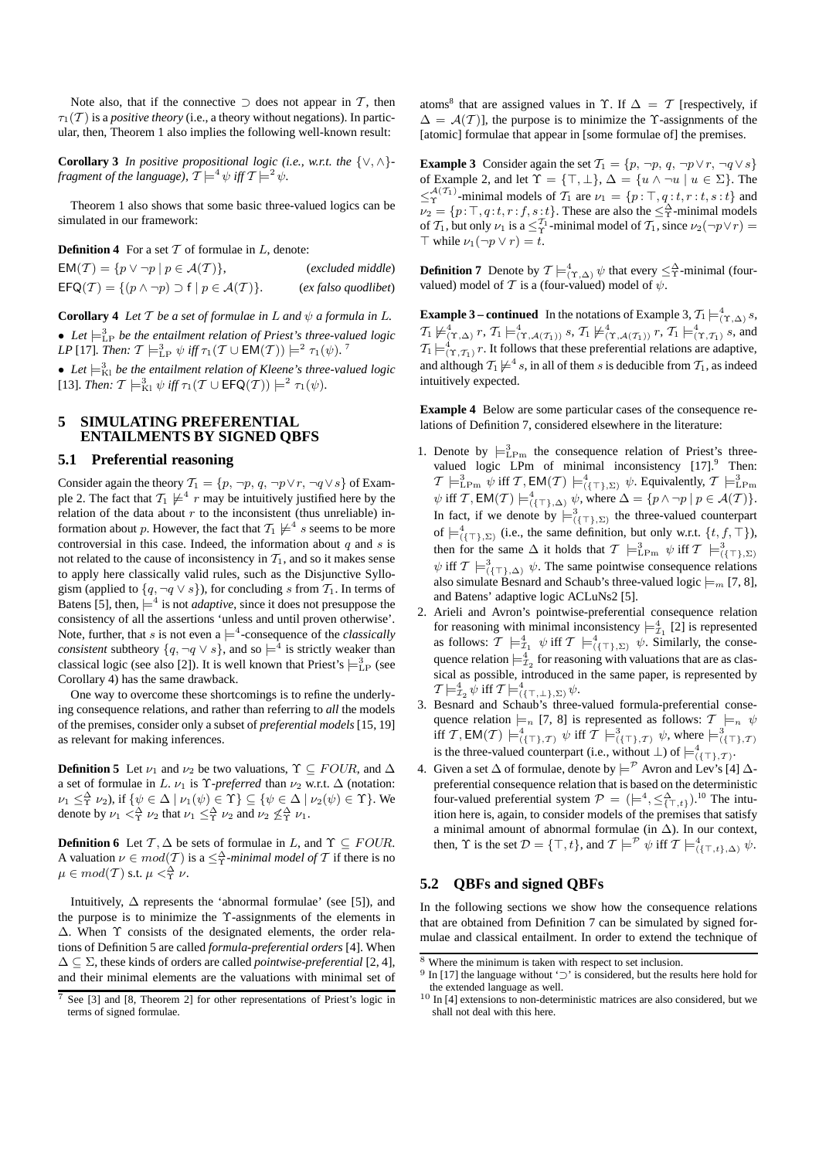Note also, that if the connective  $\supset$  does not appear in T, then  $\tau_1(\mathcal{T})$  is a *positive theory* (i.e., a theory without negations). In particular, then, Theorem 1 also implies the following well-known result:

**Corollary 3** *In positive propositional logic (i.e., w.r.t. the*  $\{\vee, \wedge\}$ *fragment of the language),*  $\mathcal{T} \models^4 \psi$  *iff*  $\mathcal{T} \models^2 \psi$ .

Theorem 1 also shows that some basic three-valued logics can be simulated in our framework:

**Definition 4** For a set  $T$  of formulae in  $L$ , denote:

 $EM(\mathcal{T}) = \{p \lor \neg p \mid p \in \mathcal{A}(\mathcal{T})\},$  (*excluded middle*)  $\mathsf{EFG}(\mathcal{T}) = \{ (p \land \neg p) \supset f \mid p \in \mathcal{A}(\mathcal{T}) \}.$  (*ex falso quodlibet*)

**Corollary 4** *Let*  $T$  *be a set of formulae in*  $L$  *and*  $\psi$  *a formula in*  $L$ *.* • Let  $\models_{\text{LP}}^3$  be the entailment relation of Priest's three-valued logic *LP* [17]*. Then:*  $\mathcal{T} \models^3_{\text{LP}} \psi$  *iff*  $\tau_1(\mathcal{T} \cup \text{EM}(\mathcal{T})) \models^2 \tau_1(\psi)$ .<sup>7</sup>

• Let  $\models_{\text{Kl}}^3$  be the entailment relation of Kleene's three-valued logic [13]. *Then:*  $T \models_{\text{K1}}^3 \psi$  *iff*  $\tau_1(T \cup \text{EFG}(T)) \models^2 \tau_1(\psi)$ .

# **5 SIMULATING PREFERENTIAL ENTAILMENTS BY SIGNED QBFS**

## **5.1 Preferential reasoning**

Consider again the theory  $T_1 = \{p, \neg p, q, \neg p \lor r, \neg q \lor s\}$  of Example 2. The fact that  $\mathcal{T}_1 \not\models^4 r$  may be intuitively justified here by the relation of the data about  $r$  to the inconsistent (thus unreliable) information about  $p.$  However, the fact that  $\mathcal{T}_1 \not\models^4 s$  seems to be more controversial in this case. Indeed, the information about  $q$  and  $s$  is not related to the cause of inconsistency in  $T_1$ , and so it makes sense to apply here classically valid rules, such as the Disjunctive Syllogism (applied to  $\{q, \neg q \lor s\}$ ), for concluding s from  $\mathcal{T}_1$ . In terms of Batens [5], then,  $\models^4$  is not *adaptive*, since it does not presuppose the consistency of all the assertions 'unless and until proven otherwise'. Note, further, that s is not even a  $\models^4$ -consequence of the *classically consistent* subtheory  $\{q, \neg q \lor s\}$ , and so  $\models^4$  is strictly weaker than classical logic (see also [2]). It is well known that Priest's  $\models^3_{\text{LP}}$  (see Corollary 4) has the same drawback.

One way to overcome these shortcomings is to refine the underlying consequence relations, and rather than referring to *all* the models of the premises, consider only a subset of *preferential models* [15, 19] as relevant for making inferences.

**Definition 5** Let  $\nu_1$  and  $\nu_2$  be two valuations,  $\Upsilon \subset \text{FOUR}$ , and  $\Delta$ a set of formulae in L.  $\nu_1$  is  $\Upsilon$ -preferred than  $\nu_2$  w.r.t.  $\Delta$  (notation:  $\nu_1 \leq^{\Delta}_{\Upsilon} \nu_2$ ), if  $\{\psi \in \Delta \mid \nu_1(\psi) \in \Upsilon\} \subseteq \{\psi \in \Delta \mid \nu_2(\psi) \in \Upsilon\}$ . We denote by  $\nu_1 <^{\Delta}_{\Upsilon} \nu_2$  that  $\nu_1 \leq^{\Delta}_{\Upsilon} \nu_2$  and  $\nu_2 \nleq^{\Delta}_{\Upsilon} \nu_1$ .

**Definition 6** Let  $T$ ,  $\Delta$  be sets of formulae in L, and  $\Upsilon \subseteq \text{FOUR}$ . A valuation  $\nu \in mod(T)$  is a  $\leq^{\Delta}_{\Upsilon}$ -minimal model of T if there is no  $\mu \in mod(T)$  s.t.  $\mu <^{\Delta}_{\Upsilon} \nu$ .

Intuitively,  $\Delta$  represents the 'abnormal formulae' (see [5]), and the purpose is to minimize the Υ-assignments of the elements in ∆. When Υ consists of the designated elements, the order relations of Definition 5 are called *formula-preferential orders* [4]. When ∆ ⊆ Σ, these kinds of orders are called *pointwise-preferential* [2, 4], and their minimal elements are the valuations with minimal set of

atoms<sup>8</sup> that are assigned values in  $\Upsilon$ . If  $\Delta = \mathcal{T}$  [respectively, if  $\Delta = \mathcal{A}(\mathcal{T})$ , the purpose is to minimize the Y-assignments of the [atomic] formulae that appear in [some formulae of] the premises.

**Example 3** Consider again the set  $\mathcal{T}_1 = \{p, \neg p, q, \neg p \lor r, \neg q \lor s\}$ of Example 2, and let  $\Upsilon = {\top, \bot}$ ,  $\Delta = \{u \wedge \neg u \mid u \in \Sigma\}$ . The  $\leq^{\mathcal{A}(\mathcal{T}_1)}_{\Upsilon}$ -minimal models of  $\mathcal{T}_1$  are  $\nu_1 = \{p : \top, q : t, r : t, s : t\}$  and  $\nu_2 = \{p: \top, q: t, r: f, s: t\}.$  These are also the  $\leq^{\Delta}_{\Upsilon}$ -minimal models of  $T_1$ , but only  $\nu_1$  is a  $\leq_T^{T_1}$ -minimal model of  $T_1$ , since  $\nu_2(\neg p \lor r) =$  $\top$  while  $\nu_1(\neg p \lor r) = t$ .

**Definition 7** Denote by  $T \models^4_{(\Upsilon, \Delta)} \psi$  that every  $\leq^{\Delta}_{\Upsilon}$ -minimal (fourvalued) model of T is a (four-valued) model of  $\psi$ .

**Example 3 – continued** In the notations of Example 3,  $T_1 \models^4_{(\Upsilon, \triangle)} s$ ,  $T_1 \not\models^4_{(\Upsilon, \Delta)} r, T_1 \models^4_{(\Upsilon, \mathcal{A}(\mathcal{T}_1))} s, T_1 \not\models^4_{(\Upsilon, \mathcal{A}(\mathcal{T}_1))} r, T_1 \models^4_{(\Upsilon, \mathcal{T}_1)} s$ , and  $\mathcal{T}_1 \models^4_{(\Upsilon, \mathcal{T}_1)} r$ . It follows that these preferential relations are adaptive, and although  $\mathcal{T}_1 \not\models^4 s$ , in all of them s is deducible from  $\mathcal{T}_1$ , as indeed intuitively expected.

**Example 4** Below are some particular cases of the consequence relations of Definition 7, considered elsewhere in the literature:

- 1. Denote by  $\models^3_{\text{LPm}}$  the consequence relation of Priest's threevalued logic LPm of minimal inconsistency  $[17]$ .<sup>9</sup> Then:  $\mathcal{T} \models^3_{\text{LPm}} \psi \text{ iff } \mathcal{T}, \textsf{EM}(\mathcal{T}) \models^4_{(\{\top\}, \Sigma)} \psi.$  Equivalently,  $\mathcal{T} \models^3_{\text{LPm}}$  $\psi$  iff T, EM(T)  $\models^4_{(\{\top\},\Delta)} \psi$ , where  $\Delta = \{p \wedge \neg p \mid p \in \mathcal{A}(T)\}.$ In fact, if we denote by  $\models^3_{(\{\top\},\Sigma)}$  the three-valued counterpart of  $\models^4_{(\{\top\}, \Sigma)}$  (i.e., the same definition, but only w.r.t.  $\{t, f, \top\}$ ), then for the same  $\Delta$  it holds that  $\mathcal{T} \models^3_{\text{LPm}} \psi$  iff  $\mathcal{T} \models^3_{(\{\top\}, \Sigma)}$  $\psi$  iff  $\mathcal{T} \models^3_{(\{\top\},\Delta)} \psi$ . The same pointwise consequence relations also simulate Besnard and Schaub's three-valued logic  $\models_m [7, 8]$ , and Batens' adaptive logic ACLuNs2 [5].
- 2. Arieli and Avron's pointwise-preferential consequence relation for reasoning with minimal inconsistency  $\models^4_{\mathcal{I}_1} [2]$  is represented as follows:  $\mathcal{T} \models^4_{\mathcal{I}_1} \psi$  iff  $\mathcal{T} \models^4_{(\{\top\}, \Sigma)} \psi$ . Similarly, the consequence relation  $\models^4_{\mathcal{I}_2}$  for reasoning with valuations that are as classical as possible, introduced in the same paper, is represented by  $\mathcal{T} \models^4_{\mathcal{I}_2} \psi \text{ iff } \mathcal{T} \models^4_{(\{\top,\bot\},\Sigma)} \psi.$
- 3. Besnard and Schaub's three-valued formula-preferential consequence relation  $\models_n [7, 8]$  is represented as follows:  $\mathcal{T} \models_n \psi$ iff T, EM(T)  $\models^4_{(\{\top\},\mathcal{T})} \psi$  iff T  $\models^3_{(\{\top\},\mathcal{T})} \psi$ , where  $\models^3_{(\{\top\},\mathcal{T})}$ <br>is the three-valued counterpart (i.e., without  $\bot$ ) of  $\models^4_{(\{\top\},\mathcal{T})}$ .
- 4. Given a set  $\Delta$  of formulae, denote by  $\models^{\mathcal{P}}$  Avron and Lev's [4]  $\Delta$ preferential consequence relation that is based on the deterministic four-valued preferential system  $\mathcal{P} = ( \models^4, \leq^{\Delta}_{\{\top, t\}}).^{10}$  The intuition here is, again, to consider models of the premises that satisfy a minimal amount of abnormal formulae (in  $\Delta$ ). In our context, then,  $\Upsilon$  is the set  $\mathcal{D} = {\{\top, t\}}$ , and  $\mathcal{T} \models^{\mathcal{P}} \psi$  iff  $\mathcal{T} \models^4_{({\{\top, t\}}, \Delta)} \psi$ .

## **5.2 QBFs and signed QBFs**

In the following sections we show how the consequence relations that are obtained from Definition 7 can be simulated by signed formulae and classical entailment. In order to extend the technique of

 $\frac{7}{7}$  See [3] and [8, Theorem 2] for other representations of Priest's logic in terms of signed formulae.

 $8$  Where the minimum is taken with respect to set inclusion.

<sup>&</sup>lt;sup>9</sup> In [17] the language without '⊃' is considered, but the results here hold for the extended language as well.

 $10$  In [4] extensions to non-deterministic matrices are also considered, but we shall not deal with this here.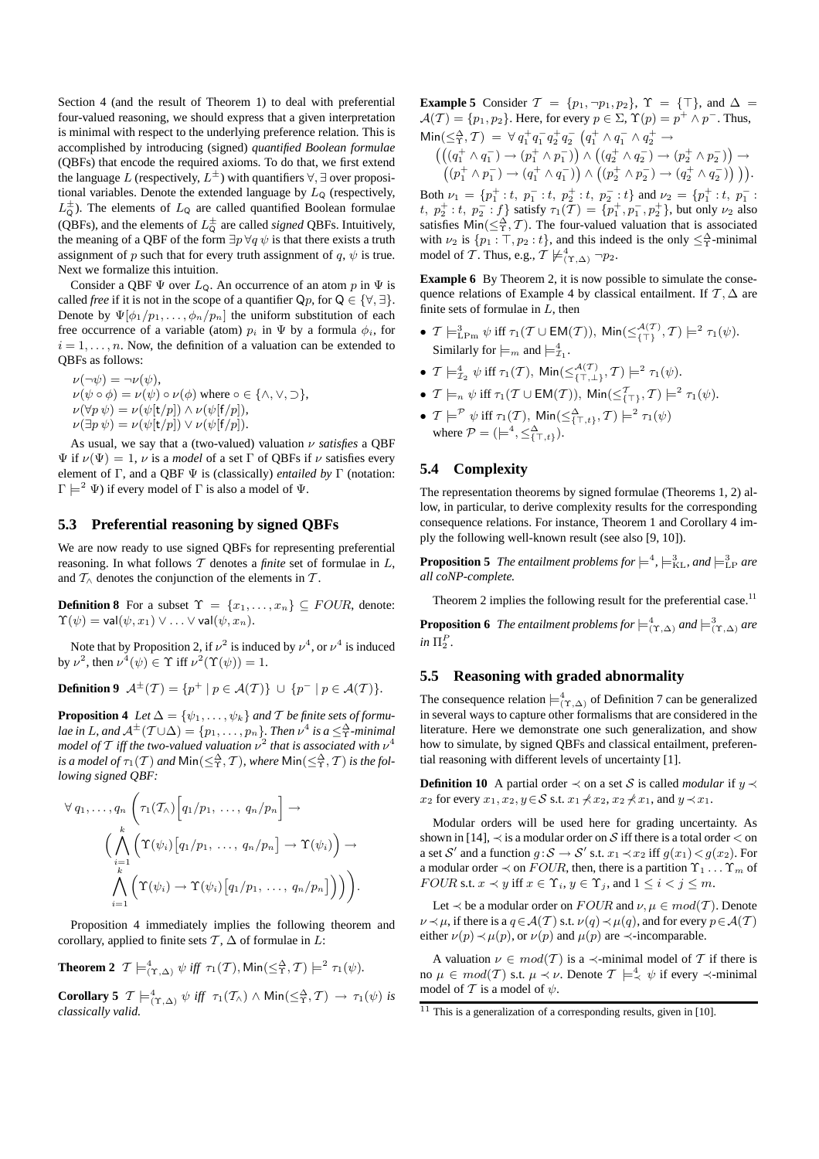Section 4 (and the result of Theorem 1) to deal with preferential four-valued reasoning, we should express that a given interpretation is minimal with respect to the underlying preference relation. This is accomplished by introducing (signed) *quantified Boolean formulae* (QBFs) that encode the required axioms. To do that, we first extend the language  $L$  (respectively,  $L^\pm$ ) with quantifiers  $\forall, \exists$  over propositional variables. Denote the extended language by  $L<sub>Q</sub>$  (respectively,  $L_{\mathsf{Q}}^{\pm}$ ). The elements of  $L_{\mathsf{Q}}$  are called quantified Boolean formulae (QBFs), and the elements of  $L^{\pm}_{\mathsf{Q}}$  are called *signed* QBFs. Intuitively, the meaning of a QBF of the form  $\exists p \forall q \psi$  is that there exists a truth assignment of p such that for every truth assignment of q,  $\psi$  is true. Next we formalize this intuition.

Consider a QBF  $\Psi$  over  $L_{\mathsf{Q}}$ . An occurrence of an atom p in  $\Psi$  is called *free* if it is not in the scope of a quantifier  $Qp$ , for  $Q \in \{\forall, \exists\}$ . Denote by  $\Psi[\phi_1/p_1,\ldots,\phi_n/p_n]$  the uniform substitution of each free occurrence of a variable (atom)  $p_i$  in  $\Psi$  by a formula  $\phi_i$ , for  $i = 1, \ldots, n$ . Now, the definition of a valuation can be extended to QBFs as follows:

 $\nu(\neg\psi) = \neg \nu(\psi),$  $\nu(\psi \circ \phi) = \nu(\psi) \circ \nu(\phi)$  where  $\circ \in {\wedge, \vee, \supset},$  $\nu(\forall p \psi) = \nu(\psi[t/p]) \wedge \nu(\psi[f/p]),$  $\nu(\exists p \psi) = \nu(\psi[\mathsf{t}/p]) \vee \nu(\psi[\mathsf{f}/p]).$ 

As usual, we say that a (two-valued) valuation ν *satisfies* a QBF Ψ if ν(Ψ) = 1, ν is a *model* of a set Γ of QBFs if ν satisfies every element of Γ, and a QBF Ψ is (classically) *entailed by* Γ (notation:  $\Gamma \models^2 \Psi$ ) if every model of  $\Gamma$  is also a model of  $\Psi$ .

## **5.3 Preferential reasoning by signed QBFs**

We are now ready to use signed QBFs for representing preferential reasoning. In what follows T denotes a *finite* set of formulae in L, and  $T_\wedge$  denotes the conjunction of the elements in T.

**Definition 8** For a subset  $\Upsilon = \{x_1, \ldots, x_n\} \subseteq \text{FOUR}$ , denote:  $\Upsilon(\psi) = \mathsf{val}(\psi, x_1) \vee \ldots \vee \mathsf{val}(\psi, x_n).$ 

Note that by Proposition 2, if  $\nu^2$  is induced by  $\nu^4$ , or  $\nu^4$  is induced by  $\nu^2$ , then  $\nu^4(\psi) \in \Upsilon$  iff  $\nu^2(\Upsilon(\psi)) = 1$ .

**Definition 9**  $\mathcal{A}^{\pm}(\mathcal{T}) = \{p^+ \mid p \in \mathcal{A}(\mathcal{T})\} \cup \{p^- \mid p \in \mathcal{A}(\mathcal{T})\}.$ 

**Proposition 4** *Let*  $\Delta = {\psi_1, \ldots, \psi_k}$  *and*  $\mathcal{T}$  *be finite sets of formu*lae in L, and  $\mathcal{A}^{\pm}(T\cup\Delta)=\{p_1,\ldots,p_n\}$ . Then  $\nu^4$  is a  $\leq^{\Delta}_\Upsilon$ -minimal model of  $T$  iff the two-valued valuation  $\nu^2$  that is associated with  $\nu^4$ is a model of  $\tau_1({\cal T})$  and  $\mathsf{Min}(\leq^\Delta_\Upsilon,{\cal T})$ , where  $\mathsf{Min}(\leq^\Delta_\Upsilon,{\cal T})$  is the fol*lowing signed QBF:*

$$
\forall q_1, \ldots, q_n \left( \tau_1(\mathcal{T}_\wedge) \left[ q_1/p_1, \ldots, q_n/p_n \right] \right) \rightarrow
$$
  

$$
\Big( \bigwedge_{\substack{i=1 \ i=1}}^k \left( \Upsilon(\psi_i) \left[ q_1/p_1, \ldots, q_n/p_n \right] \right) \rightarrow \Upsilon(\psi_i) \Big) \rightarrow
$$
  

$$
\bigwedge_{i=1}^k \left( \Upsilon(\psi_i) \rightarrow \Upsilon(\psi_i) \left[ q_1/p_1, \ldots, q_n/p_n \right] \right) \Big) \bigg).
$$

Proposition 4 immediately implies the following theorem and corollary, applied to finite sets  $\mathcal{T}, \Delta$  of formulae in L:

**Theorem 2** 
$$
\mathcal{T} \models^4_{(\Upsilon, \Delta)} \psi
$$
 iff  $\tau_1(\mathcal{T})$ ,  $\text{Min}(\leq^{\Delta}_{\Upsilon}, \mathcal{T}) \models^2 \tau_1(\psi)$ .

**Corollary 5**  $\mathcal{T} \models^4_{(\Upsilon, \Delta)} \psi$  *iff*  $\tau_1(\mathcal{T}_\wedge) \wedge \text{Min}(\leq^{\Delta}_{\Upsilon}, \mathcal{T}) \rightarrow \tau_1(\psi)$  *is classically valid.*

**Example 5** Consider  $\mathcal{T} = \{p_1, \neg p_1, p_2\}, \ \Upsilon = \{\top\}, \text{ and } \Delta =$  $\mathcal{A}(\mathcal{T}) = \{p_1, p_2\}.$  Here, for every  $p \in \Sigma$ ,  $\Upsilon(p) = p^+ \wedge p^-$ . Thus,  $\mathsf{Min}(\leq^{\Delta}_{\Upsilon},\mathcal{T}) \;=\; \forall \; q_{1}^{+}q_{1}^{-}q_{2}^{+}q_{2}^{-} \; \left(q_{1}^{+} \wedge q_{1}^{-} \wedge q_{2}^{+} \; \rightarrow \; \right.$ 

$$
\left(\left((q_1^+\wedge q_1^-)\rightarrow (p_1^+\wedge p_1^-)\right)\wedge \left((q_2^+\wedge q_2^-)\rightarrow (p_2^+\wedge p_2^-)\right)\rightarrow\right) \\
\left((p_1^+\wedge p_1^-)\rightarrow (q_1^+\wedge q_1^-)\right)\wedge \left((p_2^+\wedge p_2^-)\rightarrow (q_2^+\wedge q_2^-)\right)\right).
$$

Both  $\nu_1 = \{p_1^+ : t, p_1^- : t, p_2^+ : t, p_2^- : t\}$  and  $\nu_2 = \{p_1^+ : t, p_1^- : t\}$ t,  $p_2^+ : t$ ,  $p_2^- : f$ } satisfy  $\tau_1(\mathcal{T}) = \{p_1^+, p_1^-, p_2^+\}$ , but only  $\nu_2$  also satisfies  $\text{Min}(\leq^{\Delta}_{\Upsilon}, \mathcal{T})$ . The four-valued valuation that is associated with  $\nu_2$  is  $\{p_1 : \top, p_2 : t\}$ , and this indeed is the only  $\leq^{\Delta}_T$ -minimal model of T. Thus, e.g.,  $T \not\models^4_{(\Upsilon,\Delta)} \neg p_2$ .

**Example 6** By Theorem 2, it is now possible to simulate the consequence relations of Example 4 by classical entailment. If  $\mathcal{T}, \Delta$  are finite sets of formulae in  $L$ , then

- $\mathcal{T} \models^3_{\text{LPm}} \psi \text{ iff } \tau_1(\mathcal{T} \cup \text{EM}(\mathcal{T})), \text{ Min}(\leq^{\mathcal{A}(\mathcal{T})}_{\{\top\}}, \mathcal{T}) \models^2 \tau_1(\psi).$ Similarly for  $\models_m$  and  $\models_{\mathcal{I}_1}^4$ .
- $\mathcal{T} \models^4_{\mathcal{I}_2} \psi \text{ iff } \tau_1(\mathcal{T}), \text{ Min}(\leq^{\mathcal{A}(\mathcal{T})}_{\{\top,\bot\}}, \mathcal{T}) \models^2 \tau_1(\psi).$
- $\mathcal{T} \models_n \psi \text{ iff } \tau_1(\mathcal{T} \cup \textsf{EM}(\mathcal{T})), \textsf{Min}(\leq^{\mathcal{T}}_{\{\top\}}, \mathcal{T}) \models^2 \tau_1(\psi).$
- $\bullet$   $\mathcal{T} \models^{\mathcal{P}} \psi \text{ iff } \tau_1(\mathcal{T}), \ \mathsf{Min}(\leq^{\Delta}_{\{\top, t\}}, \mathcal{T}) \models^2 \tau_1(\psi)$ where  $P = (\models^4, \leq^{\Delta}_{\{\top, t\}})$ .

## **5.4 Complexity**

The representation theorems by signed formulae (Theorems 1, 2) allow, in particular, to derive complexity results for the corresponding consequence relations. For instance, Theorem 1 and Corollary 4 imply the following well-known result (see also [9, 10]).

**Proposition 5** The entailment problems for  $\models^4$ ,  $\models^3_{\text{KL}}$ , and  $\models^3_{\text{LP}}$  are *all coNP-complete.*

Theorem 2 implies the following result for the preferential case.<sup>11</sup>

**Proposition 6** The entailment problems for  $\models^4_{(\Upsilon,\Delta)}$  and  $\models^3_{(\Upsilon,\Delta)}$  are  $in \Pi_2^P$ .

## **5.5 Reasoning with graded abnormality**

The consequence relation  $\models^4_{(\Upsilon,\Delta)}$  of Definition 7 can be generalized in several ways to capture other formalisms that are considered in the literature. Here we demonstrate one such generalization, and show how to simulate, by signed QBFs and classical entailment, preferential reasoning with different levels of uncertainty [1].

**Definition 10** A partial order  $\prec$  on a set S is called *modular* if y  $\prec$  $x_2$  for every  $x_1, x_2, y \in S$  s.t.  $x_1 \nless x_2, x_2 \nless x_1$ , and  $y \prec x_1$ .

Modular orders will be used here for grading uncertainty. As shown in [14],  $\prec$  is a modular order on S iff there is a total order  $\lt$  on a set S' and a function  $g : S \to S'$  s.t.  $x_1 \prec x_2$  iff  $g(x_1) < g(x_2)$ . For a modular order  $\prec$  on  $FOUR$ , then, there is a partition  $\Upsilon_1 \ldots \Upsilon_m$  of FOUR s.t.  $x \prec y$  iff  $x \in \Upsilon_i$ ,  $y \in \Upsilon_j$ , and  $1 \leq i < j \leq m$ .

Let  $\prec$  be a modular order on  $FOUR$  and  $\nu, \mu \in mod(\mathcal{T})$ . Denote  $\nu \prec \mu$ , if there is a  $q \in \mathcal{A}(\mathcal{T})$  s.t.  $\nu(q) \prec \mu(q)$ , and for every  $p \in \mathcal{A}(\mathcal{T})$ either  $\nu(p) \prec \mu(p)$ , or  $\nu(p)$  and  $\mu(p)$  are  $\prec$ -incomparable.

A valuation  $\nu \in mod(T)$  is a  $\prec$ -minimal model of T if there is no  $\mu \in mod(T)$  s.t.  $\mu \prec \nu$ . Denote  $\mathcal{T} \models^4_{\prec} \psi$  if every  $\prec$ -minimal model of T is a model of  $\psi$ .

 $11$  This is a generalization of a corresponding results, given in [10].